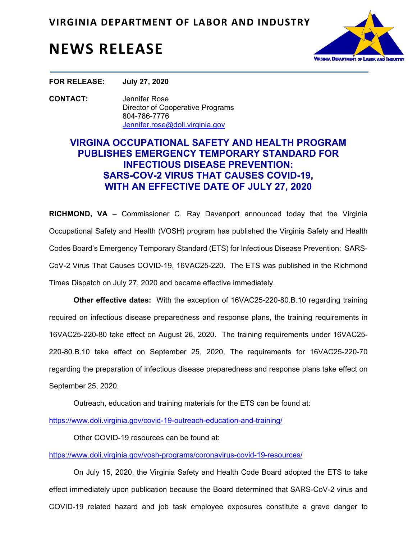

## **NEWS RELEASE**

**FOR RELEASE: July 27, 2020**

**CONTACT:** Jennifer Rose Director of Cooperative Programs 804-786-7776 Jennifer.rose@doli.virginia.gov

## **VIRGINA OCCUPATIONAL SAFETY AND HEALTH PROGRAM PUBLISHES EMERGENCY TEMPORARY STANDARD FOR INFECTIOUS DISEASE PREVENTION: SARS-COV-2 VIRUS THAT CAUSES COVID-19, WITH AN EFFECTIVE DATE OF JULY 27, 2020**

**RICHMOND, VA** – Commissioner C. Ray Davenport announced today that the Virginia Occupational Safety and Health (VOSH) program has published the Virginia Safety and Health Codes Board's Emergency Temporary Standard (ETS) for Infectious Disease Prevention: SARS-CoV-2 Virus That Causes COVID-19, 16VAC25-220. The ETS was published in the Richmond Times Dispatch on July 27, 2020 and became effective immediately.

 **Other effective dates:** With the exception of 16VAC25-220-80.B.10 regarding training required on infectious disease preparedness and response plans, the training requirements in 16VAC25-220-80 take effect on August 26, 2020. The training requirements under 16VAC25- 220-80.B.10 take effect on September 25, 2020. The requirements for 16VAC25-220-70 regarding the preparation of infectious disease preparedness and response plans take effect on September 25, 2020.

Outreach, education and training materials for the ETS can be found at:

https://www.doli.virginia.gov/covid-19-outreach-education-and-training/

Other COVID-19 resources can be found at:

https://www.doli.virginia.gov/vosh-programs/coronavirus-covid-19-resources/

 On July 15, 2020, the Virginia Safety and Health Code Board adopted the ETS to take effect immediately upon publication because the Board determined that SARS-CoV-2 virus and COVID-19 related hazard and job task employee exposures constitute a grave danger to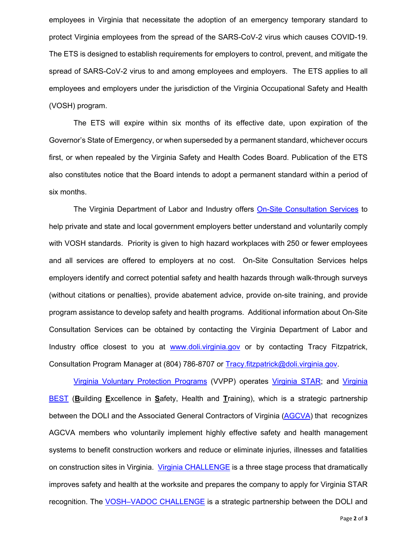employees in Virginia that necessitate the adoption of an emergency temporary standard to protect Virginia employees from the spread of the SARS-CoV-2 virus which causes COVID-19. The ETS is designed to establish requirements for employers to control, prevent, and mitigate the spread of SARS-CoV-2 virus to and among employees and employers. The ETS applies to all employees and employers under the jurisdiction of the Virginia Occupational Safety and Health (VOSH) program.

The ETS will expire within six months of its effective date, upon expiration of the Governor's State of Emergency, or when superseded by a permanent standard, whichever occurs first, or when repealed by the Virginia Safety and Health Codes Board. Publication of the ETS also constitutes notice that the Board intends to adopt a permanent standard within a period of six months.

The Virginia Department of Labor and Industry offer[s On-Site Consultation Services t](https://www.doli.virginia.gov/vosh-programs/consultation/)o help private and state and local government employers better understand and voluntarily comply with VOSH standards. Priority is given to high hazard workplaces with 250 or fewer employees and all services are offered to employers at no cost. On-Site Consultation Services helps employers identify and correct potential safety and health hazards through walk-through surveys (without citations or penalties), provide abatement advice, provide on-site training, and provide program assistance to develop safety and health programs. Additional information about On-Site Consultation Services can be obtained by contacting the Virginia Department of Labor and Industry office closest to you at www.doli.virginia.gov or by contacting Tracy Fitzpatrick, Consultation Program Manager at (804) 786-8707 or Tracy.fitzpatrick@doli.virginia.gov.

[Virginia Voluntary Protection Programs](https://www.doli.virginia.gov/voluntary-protection-program/) (VVPP) operates [Virginia STAR;](https://www.doli.virginia.gov/voluntary-protection-program/star/) and [Virginia](https://www.doli.virginia.gov/voluntary-protection-program/virginia-best-outreach-docs/)  [BEST \(](https://www.doli.virginia.gov/voluntary-protection-program/virginia-best-outreach-docs/)**B**uilding **E**xcellence in **S**afety, Health and **T**raining), which is a strategic partnership between the DOLI and the Associated General Contractors of Virginia [\(AGCVA\) t](https://agcva.org/)hat recognizes AGCVA members who voluntarily implement highly effective safety and health management systems to benefit construction workers and reduce or eliminate injuries, illnesses and fatalities on construction sites in Virginia. [Virginia CHALLENGE i](https://www.doli.virginia.gov/voluntary-protection-program/challenge/)s a three stage process that dramatically improves safety and health at the worksite and prepares the company to apply for Virginia STAR recognition. Th[e VOSH–VADOC CHALLENGE i](https://www.doli.virginia.gov/voluntary-protection-program/vadoc-challenge/)s a strategic partnership between the DOLI and